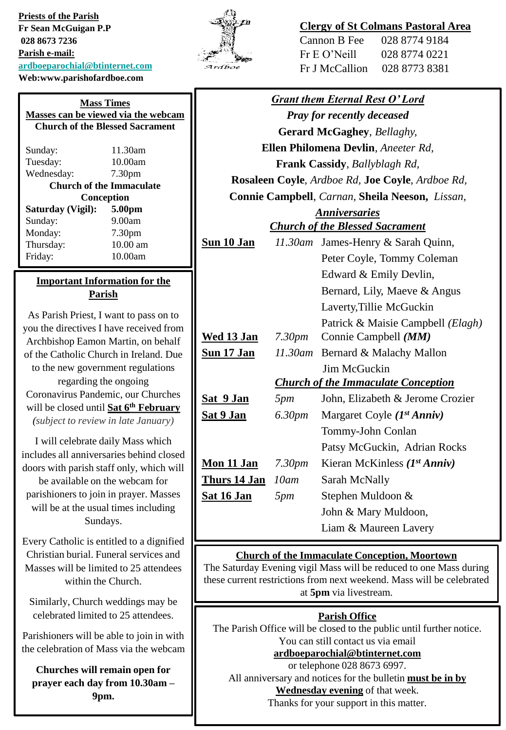**Priests of the Parish Fr Sean McGuigan P.P 028 8673 7236 Parish e-mail: [ardboeparochial@btinternet.com](mailto:ardboeparochial@btinternet.com) Web:www.parishofardboe.com**

|   | 'n |
|---|----|
| r |    |

### **Clergy of St Colmans Pastoral Area**

| Cannon B Fee   | 028 8774 9184 |
|----------------|---------------|
| Fr E O' Neill  | 028 8774 0221 |
| Fr J McCallion | 028 8773 8381 |

| <b>Grant them Eternal Rest O'Lord</b>            |                    |                                            |
|--------------------------------------------------|--------------------|--------------------------------------------|
| <b>Pray for recently deceased</b>                |                    |                                            |
| Gerard McGaghey, Bellaghy,                       |                    |                                            |
|                                                  |                    | Ellen Philomena Devlin, Aneeter Rd,        |
|                                                  |                    | Frank Cassidy, Ballyblagh Rd,              |
| Rosaleen Coyle, Ardboe Rd, Joe Coyle, Ardboe Rd, |                    |                                            |
| Connie Campbell, Carnan, Sheila Neeson, Lissan,  |                    |                                            |
| <b>Anniversaries</b>                             |                    |                                            |
| <b>Church of the Blessed Sacrament</b>           |                    |                                            |
| Sun 10 Jan                                       |                    | 11.30am James-Henry & Sarah Quinn,         |
|                                                  |                    | Peter Coyle, Tommy Coleman                 |
|                                                  |                    | Edward & Emily Devlin,                     |
|                                                  |                    | Bernard, Lily, Maeve & Angus               |
|                                                  |                    | Laverty, Tillie McGuckin                   |
|                                                  |                    | Patrick & Maisie Campbell (Elagh)          |
| <u>Wed 13 Jan</u>                                | 7.30pm             | Connie Campbell (MM)                       |
| <u>Sun 17 Jan</u>                                |                    | 11.30am Bernard & Malachy Mallon           |
|                                                  |                    | Jim McGuckin                               |
|                                                  |                    | <b>Church of the Immaculate Conception</b> |
| <u>Sat 9 Jan</u>                                 | 5pm                | John, Elizabeth & Jerome Crozier           |
| <u>Sat 9 Jan</u>                                 | 6.30 <sub>pm</sub> | Margaret Coyle $(I^{st} Anniv)$            |
|                                                  |                    | Tommy-John Conlan                          |
|                                                  |                    | Patsy McGuckin, Adrian Rocks               |
| <u>Mon 11 Jan</u>                                | 7.30pm             | Kieran McKinless $(I^{st} Anniv)$          |
| <u>Thurs 14 Jan</u>                              | 10am               | Sarah McNally                              |
| <u>Sat 16 Jan</u>                                | 5pm                | Stephen Muldoon &                          |
|                                                  |                    | John & Mary Muldoon,                       |
|                                                  |                    | Liam & Maureen Lavery                      |
|                                                  |                    |                                            |

#### **Church of the Immaculate Conception, Moortown**

The Saturday Evening vigil Mass will be reduced to one Mass during these current restrictions from next weekend. Mass will be celebrated at **5pm** via livestream.

#### **Parish Office**

The Parish Office will be closed to the public until further notice. You can still contact us via email

## **[ardboeparochial@btinternet.com](mailto:ardboeparochial@btinternet.com)**

or telephone 028 8673 6997. All anniversary and notices for the bulletin **must be in by Wednesday evening** of that week.

Thanks for your support in this matter.

| Masses can be viewed via the webcam    |                    |  |
|----------------------------------------|--------------------|--|
| <b>Church of the Blessed Sacrament</b> |                    |  |
|                                        | 11.30am            |  |
| Sunday:                                |                    |  |
| Tuesday:                               | 10.00am            |  |
| Wednesday:                             | 7.30 <sub>pm</sub> |  |
| <b>Church of the Immaculate</b>        |                    |  |
| Conception                             |                    |  |
| Saturday (Vigil):                      | 5.00pm             |  |
| Sunday:                                | 9.00am             |  |
| Monday:                                | 7.30 <sub>pm</sub> |  |
| Thursday:                              | 10.00 am           |  |

**Mass Times**

#### **Important Information for the Parish**

Friday: 10.00am

As Parish Priest, I want to pass on to you the directives I have received from Archbishop Eamon Martin, on behalf of the Catholic Church in Ireland. Due to the new government regulations regarding the ongoing Coronavirus Pandemic, our Churches will be closed until **Sat 6th February** *(subject to review in late January)*

I will celebrate daily Mass which includes all anniversaries behind closed doors with parish staff only, which will be available on the webcam for parishioners to join in prayer. Masses will be at the usual times including Sundays.

Every Catholic is entitled to a dignified Christian burial. Funeral services and Masses will be limited to 25 attendees within the Church.

Similarly, Church weddings may be celebrated limited to 25 attendees.

Parishioners will be able to join in with the celebration of Mass via the webcam

**Churches will remain open for prayer each day from 10.30am – 9pm.**